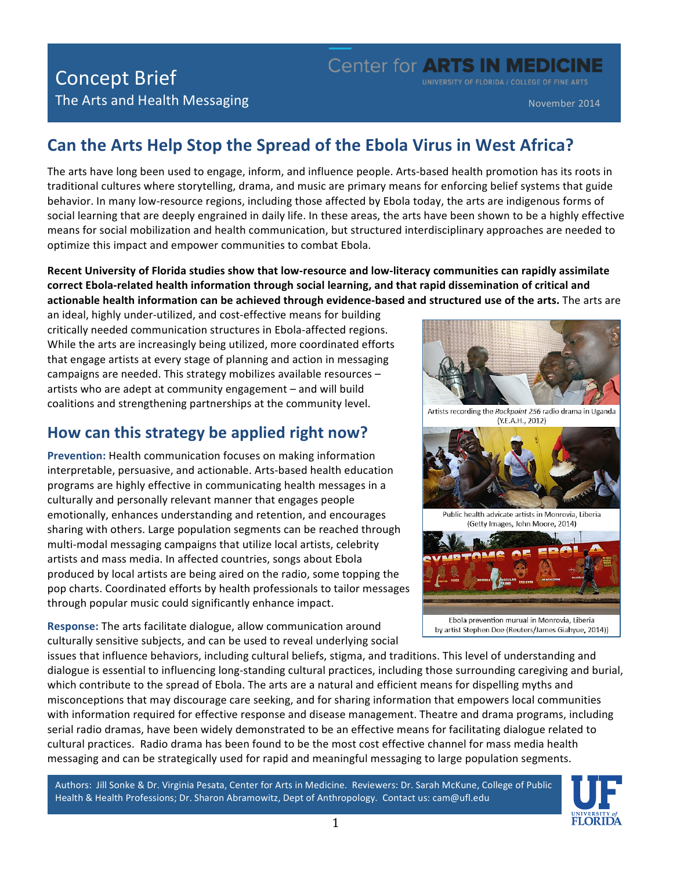## Concept Brief **Example 2018 CENTER IN MEDICINE**

UNIVERSITY OF FLORIDA / COLLEGE OF FINE ARTS

### **Can the Arts Help Stop the Spread of the Ebola Virus in West Africa?**

The arts have long been used to engage, inform, and influence people. Arts-based health promotion has its roots in traditional cultures where storytelling, drama, and music are primary means for enforcing belief systems that guide behavior. In many low-resource regions, including those affected by Ebola today, the arts are indigenous forms of social learning that are deeply engrained in daily life. In these areas, the arts have been shown to be a highly effective means for social mobilization and health communication, but structured interdisciplinary approaches are needed to optimize this impact and empower communities to combat Ebola.

Recent University of Florida studies show that low-resource and low-literacy communities can rapidly assimilate correct Ebola-related health information through social learning, and that rapid dissemination of critical and actionable health information can be achieved through evidence-based and structured use of the arts. The arts are

an ideal, highly under-utilized, and cost-effective means for building critically needed communication structures in Ebola-affected regions. While the arts are increasingly being utilized, more coordinated efforts that engage artists at every stage of planning and action in messaging campaigns are needed. This strategy mobilizes available resources artists who are adept at community engagement – and will build coalitions and strengthening partnerships at the community level.

### How can this strategy be applied right now?

**Prevention:** Health communication focuses on making information interpretable, persuasive, and actionable. Arts-based health education programs are highly effective in communicating health messages in a culturally and personally relevant manner that engages people emotionally, enhances understanding and retention, and encourages sharing with others. Large population segments can be reached through multi-modal messaging campaigns that utilize local artists, celebrity artists and mass media. In affected countries, songs about Ebola produced by local artists are being aired on the radio, some topping the pop charts. Coordinated efforts by health professionals to tailor messages through popular music could significantly enhance impact.

**Response:** The arts facilitate dialogue, allow communication around culturally sensitive subjects, and can be used to reveal underlying social



issues that influence behaviors, including cultural beliefs, stigma, and traditions. This level of understanding and dialogue is essential to influencing long-standing cultural practices, including those surrounding caregiving and burial, which contribute to the spread of Ebola. The arts are a natural and efficient means for dispelling myths and misconceptions that may discourage care seeking, and for sharing information that empowers local communities with information required for effective response and disease management. Theatre and drama programs, including serial radio dramas, have been widely demonstrated to be an effective means for facilitating dialogue related to cultural practices. Radio drama has been found to be the most cost effective channel for mass media health messaging and can be strategically used for rapid and meaningful messaging to large population segments.

Authors: Jill Sonke & Dr. Virginia Pesata, Center for Arts in Medicine. Reviewers: Dr. Sarah McKune, College of Public Health & Health Professions; Dr. Sharon Abramowitz, Dept of Anthropology. Contact us: cam@ufl.edu

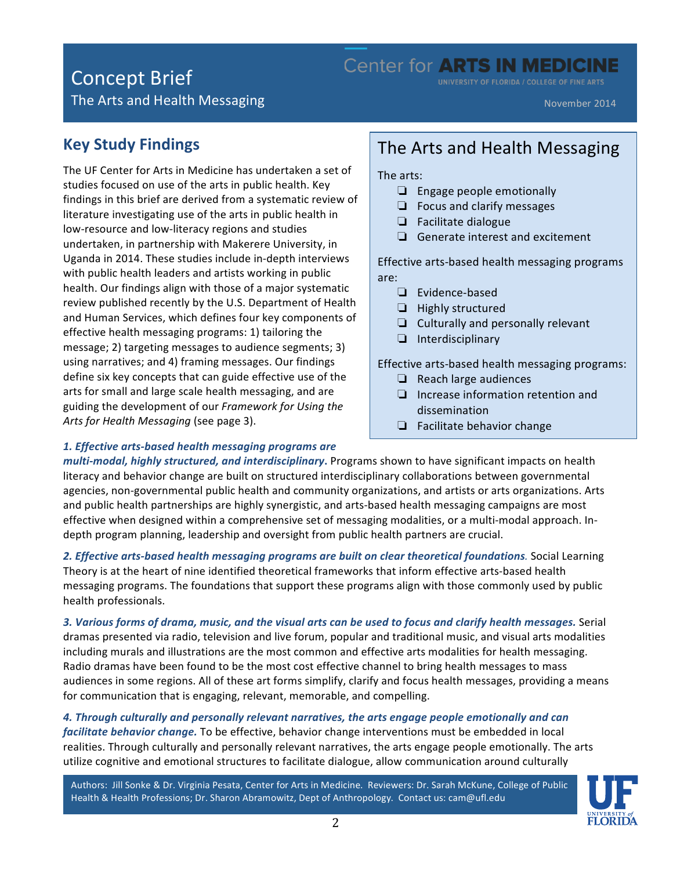# Concept Brief **Example 2018** Center for **ARTS IN MEDICINE**

UNIVERSITY OF FLORIDA / COLLEGE OF FINE ARTS

The Arts and Health Messaging

November 2014

### **Key Study Findings**

The UF Center for Arts in Medicine has undertaken a set of studies focused on use of the arts in public health. Key findings in this brief are derived from a systematic review of literature investigating use of the arts in public health in low-resource and low-literacy regions and studies undertaken, in partnership with Makerere University, in Uganda in 2014. These studies include in-depth interviews with public health leaders and artists working in public health. Our findings align with those of a major systematic review published recently by the U.S. Department of Health and Human Services, which defines four key components of effective health messaging programs: 1) tailoring the message; 2) targeting messages to audience segments; 3) using narratives; and 4) framing messages. Our findings define six key concepts that can guide effective use of the arts for small and large scale health messaging, and are guiding the development of our *Framework for Using the* Arts for Health Messaging (see page 3).

## The Arts and Health Messaging

The arts:

- $\Box$  Engage people emotionally
- $\Box$  Focus and clarify messages
- ❏ Facilitate dialogue
- $\Box$  Generate interest and excitement

Effective arts-based health messaging programs are:

- ❏ Evidence-based
- ❏ Highly structured
- $\Box$  Culturally and personally relevant
- ❏ Interdisciplinary

Effective arts-based health messaging programs:

- $\Box$  Reach large audiences
- $\Box$  Increase information retention and dissemination
- $\Box$  Facilitate behavior change

#### *1. Effective arts-based health messaging programs are*

*multi-modal, highly structured, and interdisciplinary*. Programs shown to have significant impacts on health literacy and behavior change are built on structured interdisciplinary collaborations between governmental agencies, non-governmental public health and community organizations, and artists or arts organizations. Arts and public health partnerships are highly synergistic, and arts-based health messaging campaigns are most effective when designed within a comprehensive set of messaging modalities, or a multi-modal approach. Indepth program planning, leadership and oversight from public health partners are crucial.

2. Effective arts-based health messaging programs are built on clear theoretical foundations. Social Learning Theory is at the heart of nine identified theoretical frameworks that inform effective arts-based health messaging programs. The foundations that support these programs align with those commonly used by public health professionals.<br>

3. Various forms of drama, music, and the visual arts can be used to focus and clarify health messages. Serial dramas presented via radio, television and live forum, popular and traditional music, and visual arts modalities including murals and illustrations are the most common and effective arts modalities for health messaging. Radio dramas have been found to be the most cost effective channel to bring health messages to mass audiences in some regions. All of these art forms simplify, clarify and focus health messages, providing a means for communication that is engaging, relevant, memorable, and compelling.

4. Through culturally and personally relevant narratives, the arts engage people emotionally and can *facilitate behavior change*. To be effective, behavior change interventions must be embedded in local realities. Through culturally and personally relevant narratives, the arts engage people emotionally. The arts utilize cognitive and emotional structures to facilitate dialogue, allow communication around culturally

Authors: Jill Sonke & Dr. Virginia Pesata, Center for Arts in Medicine. Reviewers: Dr. Sarah McKune, College of Public Health & Health Professions; Dr. Sharon Abramowitz, Dept of Anthropology. Contact us: cam@ufl.edu